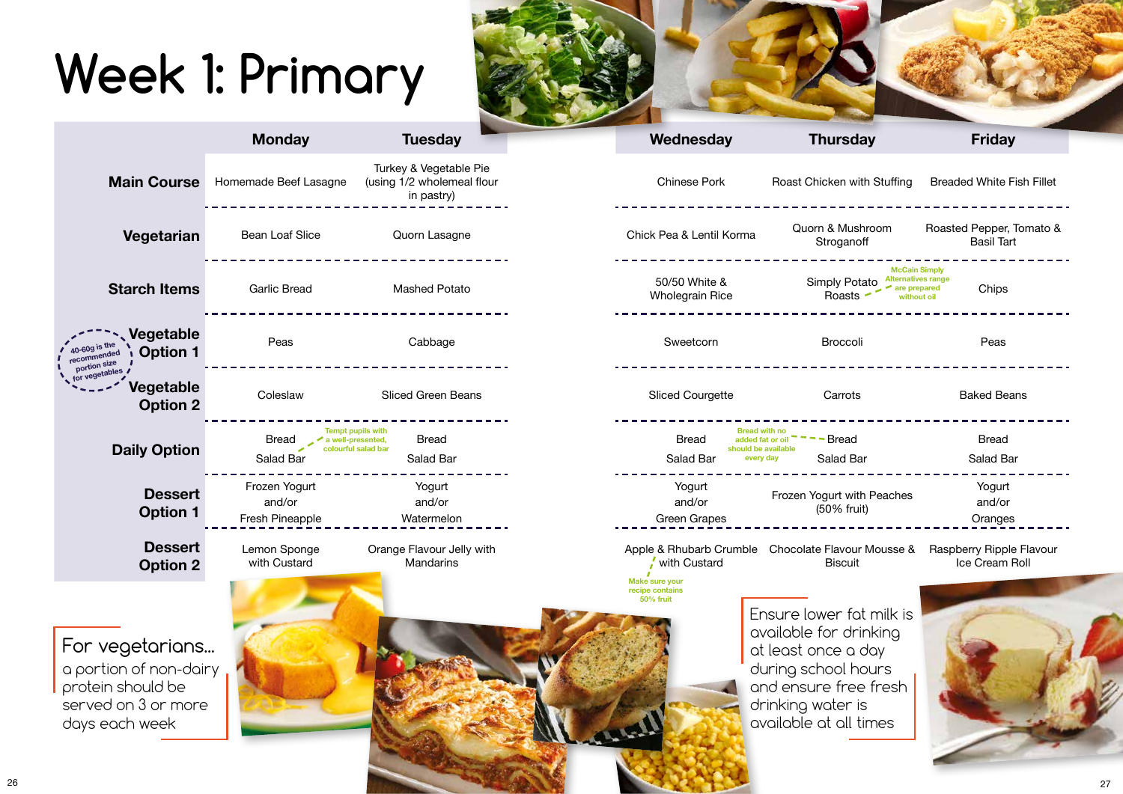## **Week 1: Primary**



## **Wednesday Thursday Friday**

| <b>Chinese Pork</b>              | Roast Chicken with Stuffing Breaded White Fish Fillet                                                                |                                               |  |  |
|----------------------------------|----------------------------------------------------------------------------------------------------------------------|-----------------------------------------------|--|--|
| Pea & Lentil Korma               | Quorn & Mushroom<br>Stroganoff                                                                                       | Roasted Pepper, Tomato &<br><b>Basil Tart</b> |  |  |
| 50/50 White &<br>/holegrain Rice | <b>McCain Simply</b><br><b>Alternatives range</b><br><b>Simply Potato</b><br>are prepared<br>Roasts -<br>without oil | Chips                                         |  |  |
| Sweetcorn                        | <b>Broccoli</b>                                                                                                      | Peas                                          |  |  |
| liced Courgette                  | Carrots                                                                                                              | <b>Baked Beans</b>                            |  |  |
| <b>Bread</b><br>Salad Bar        | <b>Bread with no</b><br>- Bread<br>added fat or oil<br>should be available<br>Salad Bar<br>every day                 | <b>Bread</b><br>Salad Bar                     |  |  |
| Yogurt<br>and/or<br>Green Grapes | Frozen Yogurt with Peaches<br>(50% fruit)                                                                            | Yogurt<br>and/or<br>Oranges                   |  |  |
|                                  |                                                                                                                      |                                               |  |  |

|                                                                                                         | <b>Monday</b>                                                  | <b>Tuesday</b>                                                     | Wednesday                                                    | <b>Thursday</b>                                                                                                                                                          | <b>Friday</b>                                                      |
|---------------------------------------------------------------------------------------------------------|----------------------------------------------------------------|--------------------------------------------------------------------|--------------------------------------------------------------|--------------------------------------------------------------------------------------------------------------------------------------------------------------------------|--------------------------------------------------------------------|
| <b>Main Course</b>                                                                                      | Homemade Beef Lasagne                                          | Turkey & Vegetable Pie<br>(using 1/2 wholemeal flour<br>in pastry) | <b>Chinese Pork</b>                                          | Roast Chicken with Stuffing                                                                                                                                              | <b>Breaded White Fish</b>                                          |
| Vegetarian                                                                                              | <b>Bean Loaf Slice</b>                                         | Quorn Lasagne                                                      | Chick Pea & Lentil Korma                                     | Quorn & Mushroom<br>Stroganoff                                                                                                                                           | Roasted Pepper, To<br><b>Basil Tart</b>                            |
| <b>Starch Items</b>                                                                                     | <b>Garlic Bread</b>                                            | <b>Mashed Potato</b>                                               | 50/50 White &<br><b>Wholegrain Rice</b>                      | <b>Simply Potato</b><br>are prepared<br>Roasts                                                                                                                           | <b>McCain Simply</b><br>Alternatives range<br>Chips<br>without oil |
| Vegetable<br>40-60g is the<br><b>Option 1</b><br>recommended<br>portion size                            | Peas                                                           | Cabbage                                                            | Sweetcorn                                                    | <b>Broccoli</b>                                                                                                                                                          |                                                                    |
| for vegetables<br>Vegetable<br><b>Option 2</b>                                                          | Coleslaw                                                       | Sliced Green Beans                                                 | <b>Sliced Courgette</b>                                      | Carrots                                                                                                                                                                  | <b>Baked Beans</b>                                                 |
| <b>Daily Option</b>                                                                                     | a well-presented,<br>colourful salad bar<br>Bread<br>Salad Bar | <b>Tempt pupils with</b><br><b>Bread</b><br>Salad Bar              | <b>Bread</b><br>Salad Bar                                    | <b>Bread with no</b><br><b>Bread</b><br>added fat or oil<br>should be available<br>Salad Bar<br>every day                                                                | Salad Bar                                                          |
| <b>Dessert</b><br><b>Option 1</b>                                                                       | Frozen Yogurt<br>and/or<br><b>Fresh Pineapple</b>              | Yogurt<br>and/or<br>Watermelon                                     | Yogurt<br>and/or<br><b>Green Grapes</b>                      | Frozen Yogurt with Peaches<br>(50% fruit)                                                                                                                                | Yogurt<br>and/or<br>Oranges                                        |
| <b>Dessert</b><br><b>Option 2</b>                                                                       | Lemon Sponge<br>with Custard                                   | Orange Flavour Jelly with<br><b>Mandarins</b>                      | Apple & Rhubarb Crumble<br>with Custard                      | Chocolate Flavour Mousse &<br><b>Biscuit</b>                                                                                                                             | Raspberry Ripple F<br>Ice Cream Ro                                 |
| For vegetarians<br>a portion of non-dairy<br>protein should be<br>served on 3 or more<br>days each week |                                                                |                                                                    | <b>Make sure your</b><br>recipe contains<br><b>50% fruit</b> | Ensure lower fat milk is<br>available for drinking<br>at least once a day<br>during school hours<br>and ensure free fresh<br>drinking water is<br>available at all times |                                                                    |

Chocolate Flavour Mousse & Raspberry Ripple Flavour Ice Cream Roll

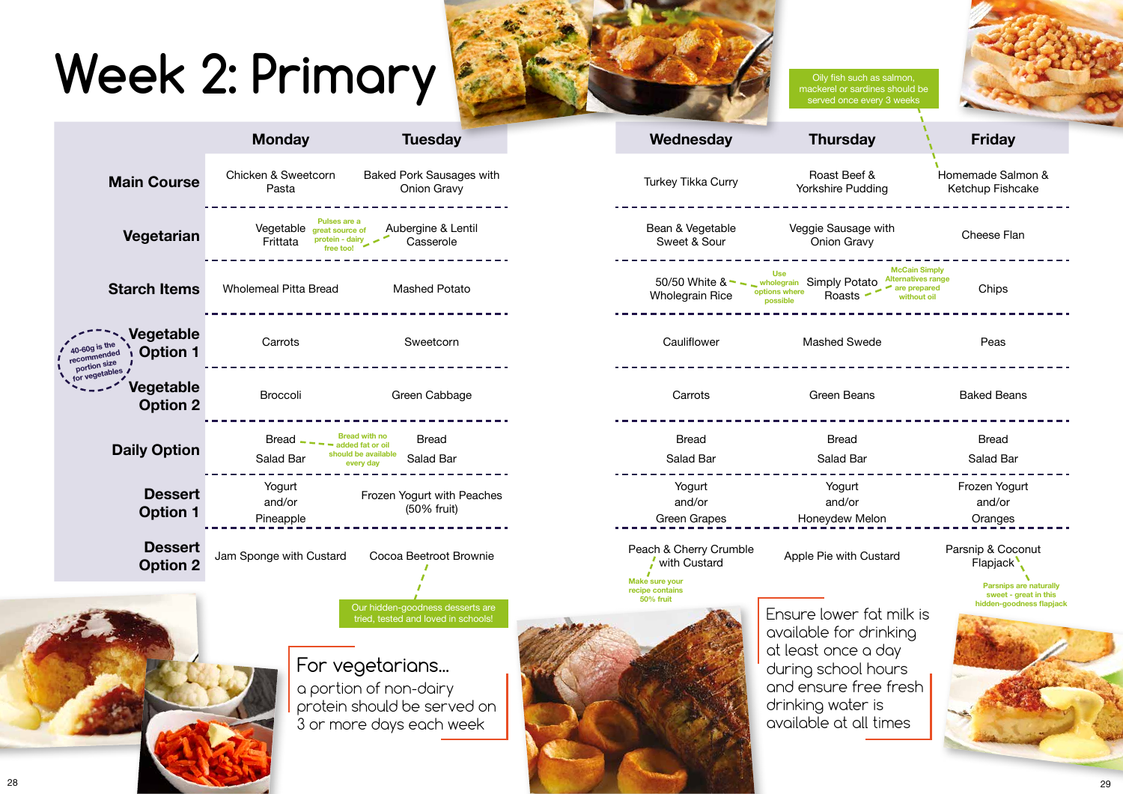## **Week 2: Primary**



|                                                                | <b>Monday</b>                                                            | <b>Tuesday</b>                                                                                                                                                                  | Wednesday                                                       | <b>Thursday</b>                                                                                                                                                                            | <b>Friday</b>                                           |
|----------------------------------------------------------------|--------------------------------------------------------------------------|---------------------------------------------------------------------------------------------------------------------------------------------------------------------------------|-----------------------------------------------------------------|--------------------------------------------------------------------------------------------------------------------------------------------------------------------------------------------|---------------------------------------------------------|
| <b>Main Course</b>                                             | <b>Chicken &amp; Sweetcorn</b><br>Pasta                                  | <b>Baked Pork Sausages with</b><br><b>Onion Gravy</b>                                                                                                                           | Turkey Tikka Curry                                              | Roast Beef &<br><b>Yorkshire Pudding</b>                                                                                                                                                   | Homemade Salmon<br>Ketchup Fishcake                     |
| Vegetarian                                                     | Pulses are a<br>Vegetable great source of<br>protein - dairy<br>Frittata | Aubergine & Lentil<br>Casserole                                                                                                                                                 | Bean & Vegetable<br>Sweet & Sour                                | Veggie Sausage with<br><b>Onion Gravy</b>                                                                                                                                                  | Cheese Flan                                             |
| <b>Starch Items</b>                                            | <b>Wholemeal Pitta Bread</b>                                             | <b>Mashed Potato</b>                                                                                                                                                            | 50/50 White $8 - $<br><b>Wholegrain Rice</b>                    | <b>McCain Simply</b><br><b>Use</b><br>Alternatives range<br><b>Simply Potato</b><br>wholegrain<br>$\blacktriangleright$ are prepared<br>options where<br>Roasts<br>without oil<br>possible | Chips                                                   |
| Vegetable<br>10-60g is the<br><b>Option 1</b><br>recommended   | Carrots                                                                  | Sweetcorn                                                                                                                                                                       | Cauliflower                                                     | <b>Mashed Swede</b>                                                                                                                                                                        | Peas                                                    |
| portion size<br>for vegetables<br>Vegetable<br><b>Option 2</b> | <b>Broccoli</b>                                                          | Green Cabbage                                                                                                                                                                   | Carrots                                                         | <b>Green Beans</b>                                                                                                                                                                         | <b>Baked Beans</b>                                      |
| <b>Daily Option</b>                                            | <b>Bread</b><br>Salad Bar                                                | Bread with no<br><b>Bread</b><br>dded fat or oil<br>should be available<br>Salad Bar<br>every day                                                                               | <b>Bread</b><br>Salad Bar                                       | <b>Bread</b><br>Salad Bar                                                                                                                                                                  | <b>Bread</b><br>Salad Bar                               |
| <b>Dessert</b><br><b>Option 1</b>                              | Yogurt<br>and/or<br>Pineapple                                            | Frozen Yogurt with Peaches<br>(50% fruit)                                                                                                                                       | Yogurt<br>and/or<br><b>Green Grapes</b>                         | Yogurt<br>and/or<br>Honeydew Melon                                                                                                                                                         | Frozen Yogurt<br>and/or<br>Oranges                      |
| <b>Dessert</b><br><b>Option 2</b>                              | Jam Sponge with Custard                                                  | Cocoa Beetroot Brownie                                                                                                                                                          | Peach & Cherry Crumble<br>with Custard<br><b>Make sure your</b> | Apple Pie with Custard                                                                                                                                                                     | Parsnip & Coconut<br>Flapjack <sup>1</sup>              |
|                                                                |                                                                          | Our hidden-goodness desserts are<br>tried, tested and loved in schools!<br>For vegetarians<br>a portion of non-dairy<br>protein should be served on<br>3 or more days each week | recipe contains<br>50% fruit                                    | Ensure lower fot milk is<br>available for drinking<br>at least once a day<br>during school hours<br>and ensure free fresh<br>drinking water is<br>available at all times                   | Parsnips are nat<br>sweet - great in<br>hidden-goodness |

| Oily fish such as salmon,<br>mackerel or sardines should be<br>served once every 3 weeks                                                   |                                                                                    |  |
|--------------------------------------------------------------------------------------------------------------------------------------------|------------------------------------------------------------------------------------|--|
| <b>Thursday</b>                                                                                                                            | <b>Friday</b>                                                                      |  |
| Roast Beef &<br>Yorkshire Pudding                                                                                                          | Homemade Salmon &<br>Ketchup Fishcake                                              |  |
| eggie Sausage with<br><b>Onion Gravy</b>                                                                                                   | <b>Cheese Flan</b>                                                                 |  |
| <b>McCain Simply</b><br><b>Alternatives range</b><br><b>Simply Potato</b><br>are prepared<br>Roasts<br>without oil                         | Chips                                                                              |  |
| <b>Mashed Swede</b>                                                                                                                        | Peas                                                                               |  |
| Green Beans                                                                                                                                | <b>Baked Beans</b>                                                                 |  |
| <b>Bread</b>                                                                                                                               | <b>Bread</b>                                                                       |  |
| <b>Salad Bar</b>                                                                                                                           | <b>Salad Bar</b>                                                                   |  |
| Yogurt                                                                                                                                     | Frozen Yogurt                                                                      |  |
| and/or                                                                                                                                     | and/or                                                                             |  |
| Honeydew Melon                                                                                                                             | Oranges                                                                            |  |
| ple Pie with Custard                                                                                                                       | Parsnip & Coconut<br>Flapjack <sup>1</sup>                                         |  |
| ire lower fat milk is<br>able for drinking<br>ast once a day<br>ng school hours<br>ensure free fresh<br>king water is<br>able at all times | <b>Parsnips are naturally</b><br>sweet - great in this<br>hidden-goodness flapjack |  |